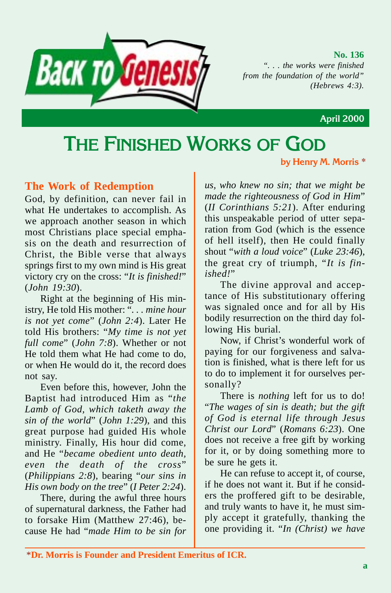

**No. 136** *". . . the works were finished from the foundation of the world" (Hebrews 4:3).*

 **April 2000**

# **THE FINISHED WORKS OF GOD**

**by Henry M. Morris** \*

## **The Work of Redemption**

God, by definition, can never fail in what He undertakes to accomplish. As we approach another season in which most Christians place special emphasis on the death and resurrection of Christ, the Bible verse that always springs first to my own mind is His great victory cry on the cross: "*It is finished!*" (*John 19:30*).

Right at the beginning of His ministry, He told His mother: "*. . . mine hour is not yet come*" (*John 2:4*). Later He told His brothers: "*My time is not yet full come*" (*John 7:8*). Whether or not He told them what He had come to do, or when He would do it, the record does not say.

Even before this, however, John the Baptist had introduced Him as "*the Lamb of God, which taketh away the sin of the world*" (*John 1:29*), and this great purpose had guided His whole ministry. Finally, His hour did come, and He "*became obedient unto death, even the death of the cross*" (*Philippians 2:8*), bearing "*our sins in His own body on the tree*" (*I Peter 2:24*).

There, during the awful three hours of supernatural darkness, the Father had to forsake Him (Matthew 27:46), because He had "*made Him to be sin for* *us, who knew no sin; that we might be made the righteousness of God in Him*" (*II Corinthians 5:21*). After enduring this unspeakable period of utter separation from God (which is the essence of hell itself), then He could finally shout "*with a loud voice*" (*Luke 23:46*), the great cry of triumph, "*It is finished!*"

The divine approval and acceptance of His substitutionary offering was signaled once and for all by His bodily resurrection on the third day following His burial.

Now, if Christ's wonderful work of paying for our forgiveness and salvation is finished, what is there left for us to do to implement it for ourselves personally?

There is *nothing* left for us to do! "*The wages of sin is death; but the gift of God is eternal life through Jesus Christ our Lord*" (*Romans 6:23*). One does not receive a free gift by working for it, or by doing something more to be sure he gets it.

He can refuse to accept it, of course, if he does not want it. But if he considers the proffered gift to be desirable, and truly wants to have it, he must simply accept it gratefully, thanking the one providing it. "*In (Christ) we have*

<sup>\*</sup>**Dr. Morris is Founder and President Emeritus of ICR.**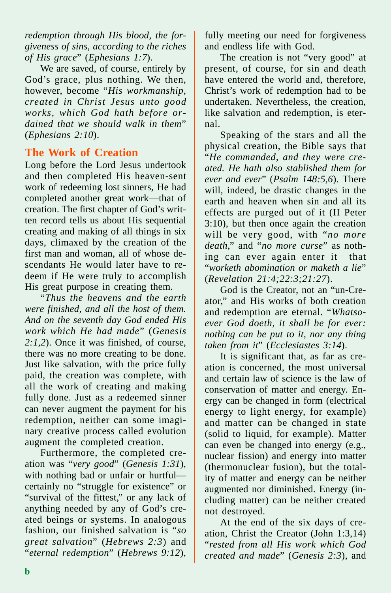*redemption through His blood, the forgiveness of sins, according to the riches of His grace*" (*Ephesians 1:7*).

We are saved, of course, entirely by God's grace, plus nothing. We then, however, become "*His workmanship, created in Christ Jesus unto good works, which God hath before ordained that we should walk in them*" (*Ephesians 2:10*).

# **The Work of Creation**

Long before the Lord Jesus undertook and then completed His heaven-sent work of redeeming lost sinners, He had completed another great work—that of creation. The first chapter of God's written record tells us about His sequential creating and making of all things in six days, climaxed by the creation of the first man and woman, all of whose descendants He would later have to redeem if He were truly to accomplish His great purpose in creating them.

"*Thus the heavens and the earth were finished, and all the host of them. And on the seventh day God ended His work which He had made*" (*Genesis 2:1,2*). Once it was finished, of course, there was no more creating to be done. Just like salvation, with the price fully paid, the creation was complete, with all the work of creating and making fully done. Just as a redeemed sinner can never augment the payment for his redemption, neither can some imaginary creative process called evolution augment the completed creation.

Furthermore, the completed creation was "*very good*" (*Genesis 1:31*), with nothing bad or unfair or hurtful certainly no "struggle for existence" or "survival of the fittest," or any lack of anything needed by any of God's created beings or systems. In analogous fashion, our finished salvation is "*so great salvation*" (*Hebrews 2:3*) and "*eternal redemption*" (*Hebrews 9:12*),

fully meeting our need for forgiveness and endless life with God.

The creation is not "very good" at present, of course, for sin and death have entered the world and, therefore, Christ's work of redemption had to be undertaken. Nevertheless, the creation, like salvation and redemption, is eternal.

Speaking of the stars and all the physical creation, the Bible says that "*He commanded, and they were created. He hath also stablished them for ever and ever*" (*Psalm 148:5,6*). There will, indeed, be drastic changes in the earth and heaven when sin and all its effects are purged out of it (II Peter 3:10), but then once again the creation will be very good, with "*no more death*," and "*no more curse*" as nothing can ever again enter it that "*worketh abomination or maketh a lie*" (*Revelation 21:4;22:3;21:27*).

God is the Creator, not an "un-Creator," and His works of both creation and redemption are eternal. "*Whatsoever God doeth, it shall be for ever: nothing can be put to it, nor any thing taken from it*" (*Ecclesiastes 3:14*).

It is significant that, as far as creation is concerned, the most universal and certain law of science is the law of conservation of matter and energy. Energy can be changed in form (electrical energy to light energy, for example) and matter can be changed in state (solid to liquid, for example). Matter can even be changed into energy (e.g., nuclear fission) and energy into matter (thermonuclear fusion), but the totality of matter and energy can be neither augmented nor diminished. Energy (including matter) can be neither created not destroyed.

At the end of the six days of creation, Christ the Creator (John 1:3,14) "*rested from all His work which God created and made*" (*Genesis 2:3*), and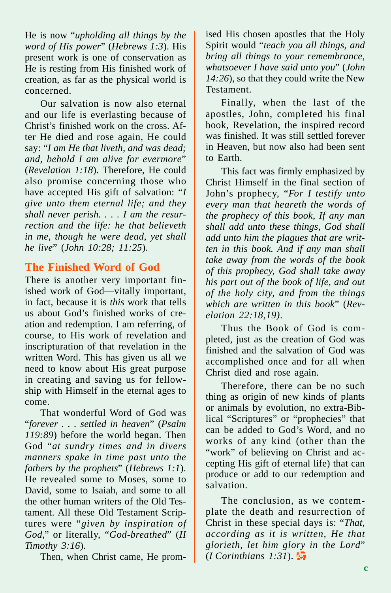He is now "*upholding all things by the word of His power*" (*Hebrews 1:3*). His present work is one of conservation as He is resting from His finished work of creation, as far as the physical world is concerned.

Our salvation is now also eternal and our life is everlasting because of Christ's finished work on the cross. After He died and rose again, He could say: "*I am He that liveth, and was dead; and, behold I am alive for evermore*" (*Revelation 1:18*). Therefore, He could also promise concerning those who have accepted His gift of salvation: "*I give unto them eternal life; and they shall never perish. . . . I am the resurrection and the life: he that believeth in me, though he were dead, yet shall he live*" (*John 10:28; 11:25*).

## **The Finished Word of God**

There is another very important finished work of God—vitally important, in fact, because it is *this* work that tells us about God's finished works of creation and redemption. I am referring, of course, to His work of revelation and inscripturation of that revelation in the written Word. This has given us all we need to know about His great purpose in creating and saving us for fellowship with Himself in the eternal ages to come.

That wonderful Word of God was "*forever . . . settled in heaven*" (*Psalm 119:89*) before the world began. Then God "*at sundry times and in divers manners spake in time past unto the fathers by the prophets*" (*Hebrews 1:1*). He revealed some to Moses, some to David, some to Isaiah, and some to all the other human writers of the Old Testament. All these Old Testament Scriptures were "*given by inspiration of God*," or literally, "*God-breathed*" (*II Timothy 3:16*).

Then, when Christ came, He prom-

ised His chosen apostles that the Holy Spirit would "*teach you all things, and bring all things to your remembrance, whatsoever I have said unto you*" (*John 14:26*), so that they could write the New Testament.

Finally, when the last of the apostles, John, completed his final book, Revelation, the inspired record was finished. It was still settled forever in Heaven, but now also had been sent to Earth.

This fact was firmly emphasized by Christ Himself in the final section of John's prophecy, "*For I testify unto every man that heareth the words of the prophecy of this book, If any man shall add unto these things, God shall add unto him the plagues that are written in this book. And if any man shall take away from the words of the book of this prophecy, God shall take away his part out of the book of life, and out of the holy city, and from the things which are written in this book*" (*Revelation 22:18,19)*.

Thus the Book of God is completed, just as the creation of God was finished and the salvation of God was accomplished once and for all when Christ died and rose again.

Therefore, there can be no such thing as origin of new kinds of plants or animals by evolution, no extra-Biblical "Scriptures" or "prophecies" that can be added to God's Word, and no works of any kind (other than the "work" of believing on Christ and accepting His gift of eternal life) that can produce or add to our redemption and salvation.

The conclusion, as we contemplate the death and resurrection of Christ in these special days is: "*That, according as it is written, He that glorieth, let him glory in the Lord*" (*I Corinthians 1:31*).